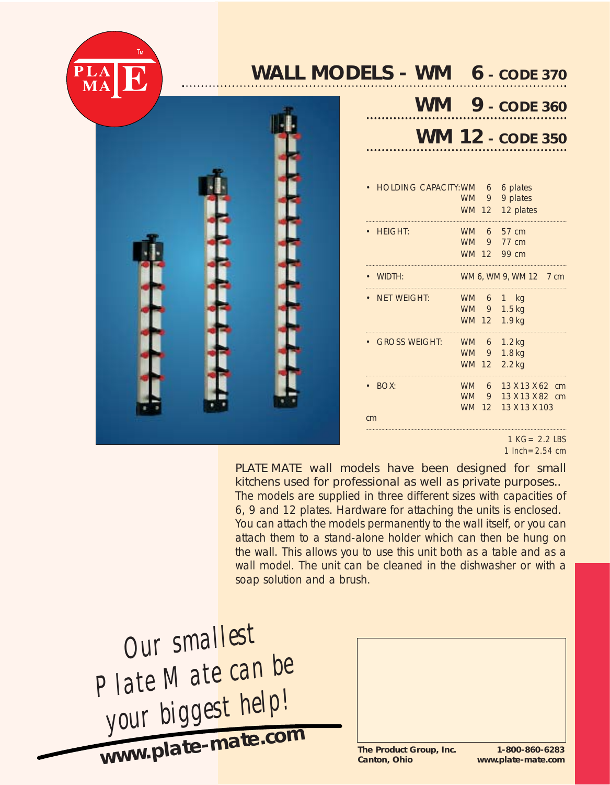

# **WALL MODELS - WM 6** *- CODE 370*

. . . . . . . .



|  | $WW = 9 - CODE 360$     |  |
|--|-------------------------|--|
|  | <b>WM 12 - CODE 350</b> |  |

| <b>HOLDING CAPACITY: WM</b> | <b>WM</b><br><b>WM 12</b>              | 6<br>9                    | 6 plates<br>9 plates<br>12 plates                  |          |
|-----------------------------|----------------------------------------|---------------------------|----------------------------------------------------|----------|
| <b>HEIGHT:</b>              | <b>WM</b><br><b>WM</b><br>WM 12        | 6<br>9                    | 57 cm<br>77 cm<br>99 cm                            |          |
| WIDTH:                      |                                        |                           | WM 6, WM 9, WM 12 7 cm                             |          |
| NET WEIGHT:                 | <b>WM</b><br><b>WM</b><br><b>WM 12</b> | 6<br>9                    | – kg<br>$\mathbf{1}$<br>1.5 <sub>kq</sub><br>1.9kg |          |
| <b>GROSS WEIGHT:</b>        | <b>WM</b><br><b>WM</b><br><b>WM</b>    | 6<br>9<br>12              | $1.2$ kg<br>$1.8$ kg<br>$2.2$ kg                   |          |
| BOX:                        | <b>WM</b><br><b>WM</b><br><b>WM</b>    | 6<br>9<br>12 <sup>7</sup> | 13 X 13 X 62<br>13 X 13 X 82<br>13 X 13 X 103      | cm<br>cm |
| cm                          |                                        |                           |                                                    |          |

*1 KG= 2.2 LBS 1 Inch=2.54 cm*

PLATE MATE wall models have been designed for small kitchens used for professional as well as private purposes.. The models are supplied in three different sizes with capacities of 6, 9 and 12 plates. Hardware for attaching the units is enclosed. You can attach the models permanently to the wall itself, or you can attach them to a stand-alone holder which can then be hung on the wall. This allows you to use this unit both as a table and as a wall model. The unit can be cleaned in the dishwasher or with a soap solution and a brush.

*Our smallest Plate Mate can be your biggest help!* **www.plate-mate.co<sup>m</sup>**